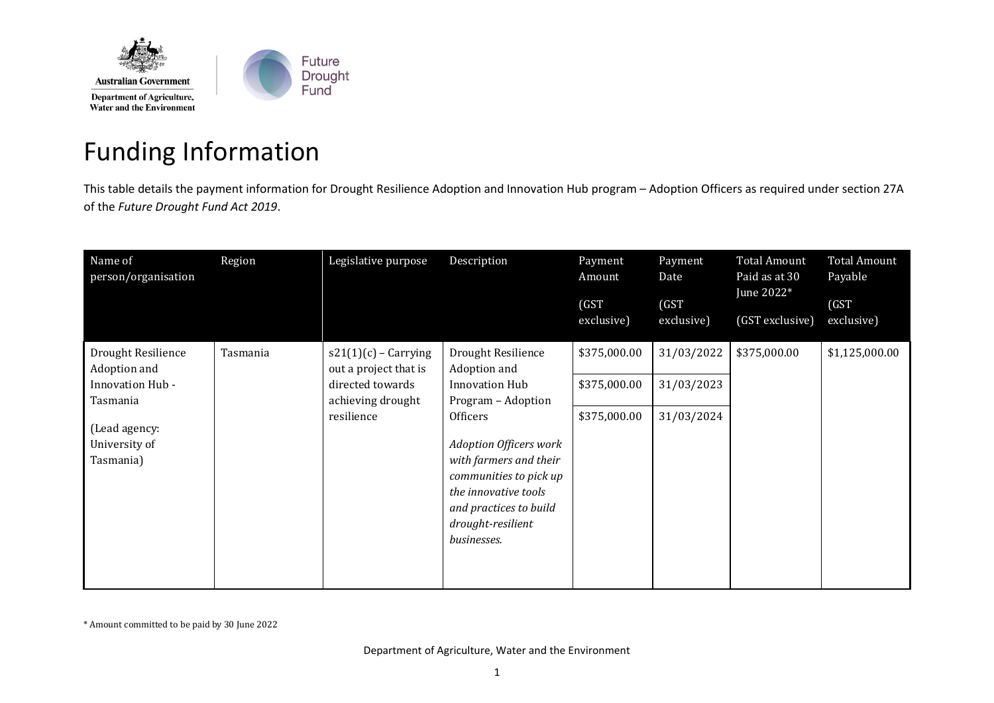

## Funding Information

This table details the payment information for Drought Resilience Adoption and Innovation Hub program – Adoption Officers as required under section 27A of the *Future Drought Fund Act 2019*.

| Name of<br>person/organisation              | Region     | Legislative purpose                             | Description                                                                                                                                                                                                                        | Payment<br>Amount<br>(GST) | Payment<br>Date<br>(GST) | <b>Total Amount</b><br>Paid as at 30<br>June 2022* | <b>Total Amount</b><br>Payable<br>(GST) |
|---------------------------------------------|------------|-------------------------------------------------|------------------------------------------------------------------------------------------------------------------------------------------------------------------------------------------------------------------------------------|----------------------------|--------------------------|----------------------------------------------------|-----------------------------------------|
|                                             |            |                                                 |                                                                                                                                                                                                                                    | exclusive)                 | exclusive)               | (GST exclusive)                                    | exclusive)                              |
| Drought Resilience<br>Adoption and          | Tasmania   | $s21(1)(c)$ - Carrying<br>out a project that is | Drought Resilience<br>Adoption and                                                                                                                                                                                                 | \$375,000.00               | 31/03/2022               | \$375,000.00                                       | \$1,125,000.00                          |
| Innovation Hub -<br>Tasmania                |            | directed towards<br>achieving drought           | <b>Innovation Hub</b><br>Program - Adoption<br>Officers<br><b>Adoption Officers work</b><br>with farmers and their<br>communities to pick up<br>the innovative tools<br>and practices to build<br>drought-resilient<br>businesses. | \$375,000.00               | 31/03/2023               |                                                    |                                         |
| (Lead agency:<br>University of<br>Tasmania) | resilience |                                                 |                                                                                                                                                                                                                                    | \$375,000.00               | 31/03/2024               |                                                    |                                         |

\* Amount committed to be paid by 30 June 2022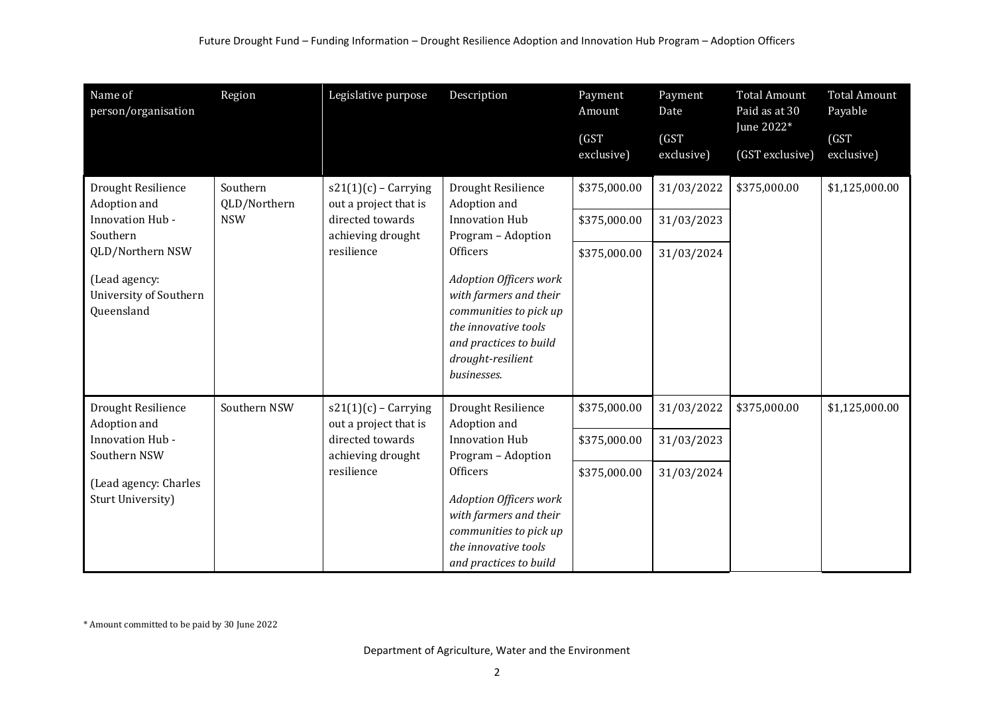| Name of<br>person/organisation                                                 | Region                   | Legislative purpose                                                                      | Description                                                                                                                                                                                                                                                              | Payment<br>Amount   | Payment<br>Date     | <b>Total Amount</b><br>Paid as at 30 | <b>Total Amount</b><br>Payable |
|--------------------------------------------------------------------------------|--------------------------|------------------------------------------------------------------------------------------|--------------------------------------------------------------------------------------------------------------------------------------------------------------------------------------------------------------------------------------------------------------------------|---------------------|---------------------|--------------------------------------|--------------------------------|
|                                                                                |                          |                                                                                          |                                                                                                                                                                                                                                                                          | (GST)<br>exclusive) | (GST)<br>exclusive) | June 2022*<br>(GST exclusive)        | (GST<br>exclusive)             |
| Drought Resilience<br>Adoption and                                             | Southern<br>QLD/Northern | $s21(1)(c)$ - Carrying<br>out a project that is<br>directed towards<br>achieving drought | Drought Resilience<br>Adoption and<br><b>Innovation Hub</b><br>Program - Adoption<br>Officers<br><b>Adoption Officers work</b><br>with farmers and their<br>communities to pick up<br>the innovative tools<br>and practices to build<br>drought-resilient<br>businesses. | \$375,000.00        | 31/03/2022          | \$375,000.00                         | \$1,125,000.00                 |
| Innovation Hub -<br>Southern                                                   | <b>NSW</b>               |                                                                                          |                                                                                                                                                                                                                                                                          | \$375,000.00        | 31/03/2023          |                                      |                                |
| QLD/Northern NSW                                                               |                          | resilience                                                                               |                                                                                                                                                                                                                                                                          | \$375,000.00        | 31/03/2024          |                                      |                                |
| (Lead agency:<br>University of Southern<br>Queensland                          |                          |                                                                                          |                                                                                                                                                                                                                                                                          |                     |                     |                                      |                                |
| Drought Resilience<br>Adoption and                                             | Southern NSW             | $s21(1)(c)$ - Carrying<br>out a project that is                                          | Drought Resilience<br>Adoption and                                                                                                                                                                                                                                       | \$375,000.00        | 31/03/2022          | \$375,000.00                         | \$1,125,000.00                 |
| Innovation Hub -<br>Southern NSW<br>(Lead agency: Charles<br>Sturt University) | resilience               | directed towards<br>achieving drought                                                    | <b>Innovation Hub</b><br>Program - Adoption                                                                                                                                                                                                                              | \$375,000.00        | 31/03/2023          |                                      |                                |
|                                                                                |                          |                                                                                          | <b>Officers</b><br><b>Adoption Officers work</b><br>with farmers and their<br>communities to pick up<br>the innovative tools<br>and practices to build                                                                                                                   | \$375,000.00        | 31/03/2024          |                                      |                                |

\* Amount committed to be paid by 30 June 2022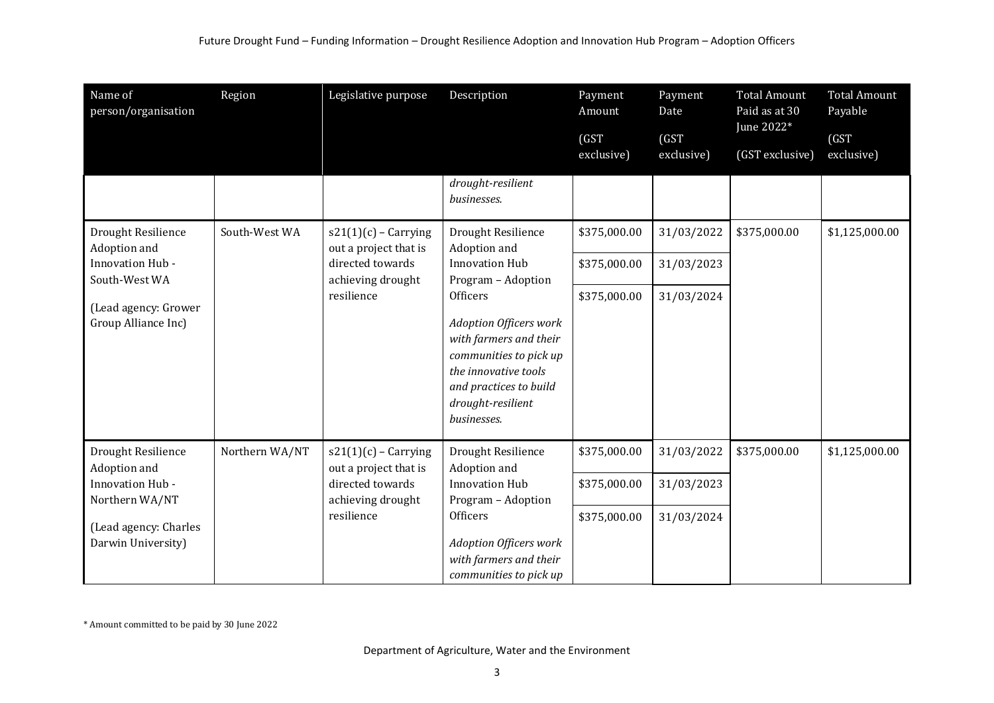| Name of<br>person/organisation                                                                                          | Region                                                                                                                   | Legislative purpose                                                                           | Description                                                                                                                                                                                                                        | Payment<br>Amount   | Payment<br>Date     | <b>Total Amount</b><br>Paid as at 30<br>June 2022* | <b>Total Amount</b><br>Payable |
|-------------------------------------------------------------------------------------------------------------------------|--------------------------------------------------------------------------------------------------------------------------|-----------------------------------------------------------------------------------------------|------------------------------------------------------------------------------------------------------------------------------------------------------------------------------------------------------------------------------------|---------------------|---------------------|----------------------------------------------------|--------------------------------|
|                                                                                                                         |                                                                                                                          |                                                                                               |                                                                                                                                                                                                                                    | (GST)<br>exclusive) | (GST)<br>exclusive) | (GST exclusive)                                    | (GST)<br>exclusive)            |
|                                                                                                                         |                                                                                                                          |                                                                                               | drought-resilient<br>businesses.                                                                                                                                                                                                   |                     |                     |                                                    |                                |
| Drought Resilience<br>Adoption and                                                                                      | South-West WA                                                                                                            | $s21(1)(c)$ - Carrying<br>out a project that is                                               | Drought Resilience<br>Adoption and                                                                                                                                                                                                 | \$375,000.00        | 31/03/2022          | \$375,000.00                                       | \$1,125,000.00                 |
| Innovation Hub -<br>South-West WA                                                                                       |                                                                                                                          | directed towards<br>achieving drought<br>resilience                                           | <b>Innovation Hub</b><br>Program - Adoption<br>Officers<br><b>Adoption Officers work</b><br>with farmers and their<br>communities to pick up<br>the innovative tools<br>and practices to build<br>drought-resilient<br>businesses. | \$375,000.00        | 31/03/2023          |                                                    |                                |
| (Lead agency: Grower<br>Group Alliance Inc)                                                                             |                                                                                                                          |                                                                                               |                                                                                                                                                                                                                                    | \$375,000.00        | 31/03/2024          |                                                    |                                |
| Drought Resilience<br>Adoption and<br>Innovation Hub -<br>Northern WA/NT<br>(Lead agency: Charles<br>Darwin University) | Northern WA/NT<br>$s21(1)(c)$ - Carrying<br>out a project that is<br>directed towards<br>achieving drought<br>resilience |                                                                                               | Drought Resilience<br>Adoption and<br><b>Innovation Hub</b><br>Program - Adoption                                                                                                                                                  | \$375,000.00        | 31/03/2022          | \$375,000.00                                       | \$1,125,000.00                 |
|                                                                                                                         |                                                                                                                          |                                                                                               |                                                                                                                                                                                                                                    | \$375,000.00        | 31/03/2023          |                                                    |                                |
|                                                                                                                         |                                                                                                                          | Officers<br><b>Adoption Officers work</b><br>with farmers and their<br>communities to pick up | \$375,000.00                                                                                                                                                                                                                       | 31/03/2024          |                     |                                                    |                                |

\* Amount committed to be paid by 30 June 2022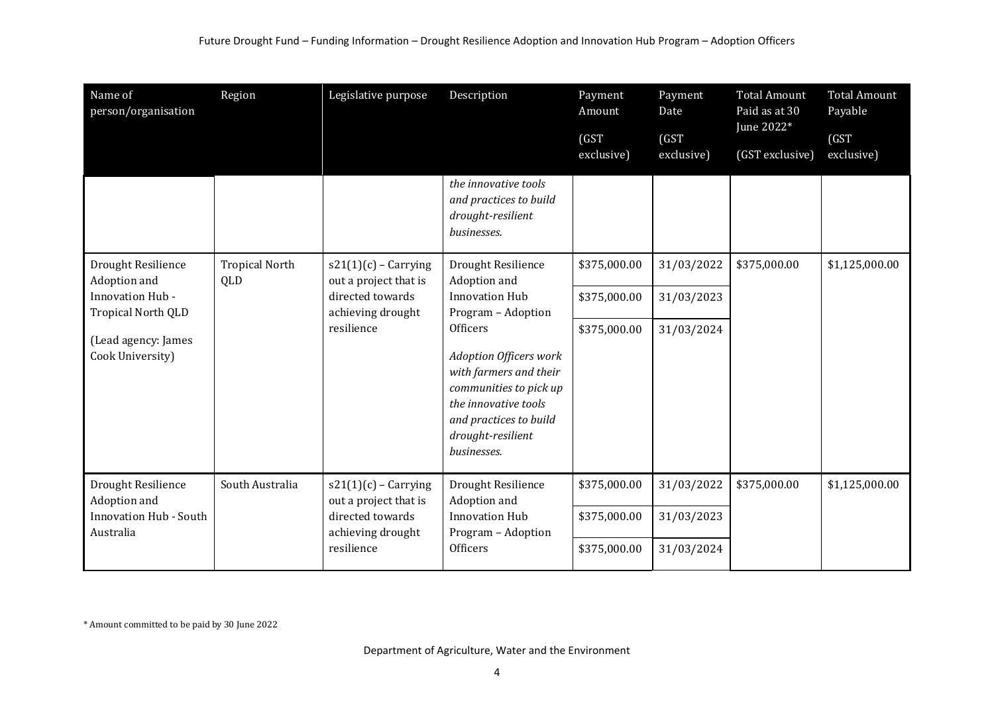| Region                       | Legislative purpose                                                                                    | Description                                                                                                                                                                                                                        | Payment<br>Amount<br>(GST)                   | Payment<br>Date<br>(GST)               | <b>Total Amount</b><br>Paid as at 30<br>June 2022* | <b>Total Amount</b><br>Payable<br>(GST) |
|------------------------------|--------------------------------------------------------------------------------------------------------|------------------------------------------------------------------------------------------------------------------------------------------------------------------------------------------------------------------------------------|----------------------------------------------|----------------------------------------|----------------------------------------------------|-----------------------------------------|
|                              |                                                                                                        |                                                                                                                                                                                                                                    | exclusive)                                   | exclusive)                             | (GST exclusive)                                    | exclusive)                              |
|                              |                                                                                                        | and practices to build<br>drought-resilient<br>businesses.                                                                                                                                                                         |                                              |                                        |                                                    |                                         |
| <b>Tropical North</b><br>QLD | $s21(1)(c)$ - Carrying<br>out a project that is                                                        | Drought Resilience<br>Adoption and                                                                                                                                                                                                 | \$375,000.00                                 | 31/03/2022                             | \$375,000.00                                       | \$1,125,000.00                          |
|                              | directed towards<br>achieving drought<br>resilience                                                    | <b>Innovation Hub</b><br>Program - Adoption<br>Officers<br><b>Adoption Officers work</b><br>with farmers and their<br>communities to pick up<br>the innovative tools<br>and practices to build<br>drought-resilient<br>businesses. | \$375,000.00                                 | 31/03/2023                             |                                                    |                                         |
|                              |                                                                                                        |                                                                                                                                                                                                                                    | \$375,000.00                                 | 31/03/2024                             |                                                    |                                         |
| South Australia              | $s21(1)(c)$ - Carrying<br>out a project that is<br>directed towards<br>achieving drought<br>resilience | Drought Resilience<br>Adoption and<br><b>Innovation Hub</b><br>Program - Adoption<br>Officers                                                                                                                                      | \$375,000.00<br>\$375,000.00<br>\$375,000.00 | 31/03/2022<br>31/03/2023<br>31/03/2024 | \$375,000.00                                       | \$1,125,000.00                          |
|                              |                                                                                                        |                                                                                                                                                                                                                                    | the innovative tools                         |                                        |                                                    |                                         |

\* Amount committed to be paid by 30 June 2022

Department of Agriculture, Water and the Environment